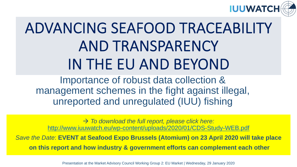

# ADVANCING SEAFOOD TRACEABILITY AND TRANSPARENCY IN THE EU AND BEYOND

Importance of robust data collection & management schemes in the fight against illegal, unreported and unregulated (IUU) fishing

 $\rightarrow$  To download the full report, please click here: <http://www.iuuwatch.eu/wp-content/uploads/2020/01/CDS-Study-WEB.pdf>

Save the Date: **EVENT at Seafood Expo Brussels (Atomium) on 23 April 2020 will take place on this report and how industry & government efforts can complement each other**

Presentation at the Market Advisory Council Working Group 2: EU Market | Wednesday, 29 January 2020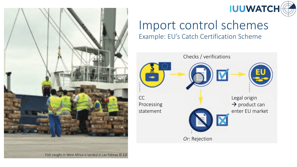



## Import control schemes

Example: EU's Catch Certification Scheme

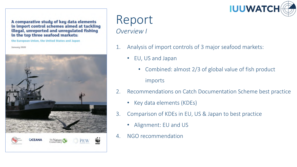**IUUWATCH** 

A comparative study of key data elements in import control schemes aimed at tackling illegal, unreported and unregulated fishing in the top three seafood markets:

the European Union, the United States and Japan

January 2020



#### Report *Overview I*

- 1. Analysis of import controls of 3 major seafood markets:
	- EU, US and Japan
		- Combined: almost 2/3 of global value of fish product imports
- 2. Recommendations on Catch Documentation Scheme best practice
	- Key data elements (KDEs)
- 3. Comparison of KDEs in EU, US & Japan to best practice
	- Alignment: EU and US
- 4. NGO recommendation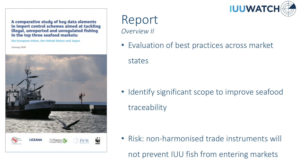

A comparative study of key data elements in import control schemes aimed at tackling illegal, unreported and unregulated fishing in the top three seafood markets:

the European Union, the United States and Japan

January 2020



#### Report *Overview II*

• Evaluation of best practices across market

states

• Identify significant scope to improve seafood traceability

• Risk: non-harmonised trade instruments will not prevent IUU fish from entering markets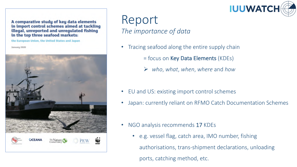

A comparative study of key data elements in import control schemes aimed at tackling illegal, unreported and unregulated fishing in the top three seafood markets:

the European Union, the United States and Japan

January 2020



#### Report *The importance of data*

- Tracing seafood along the entire supply chain
	- = focus on Key Data Elements (KDEs)
	- Ø *who*, *what*, *when*, *where* and *how*
- EU and US: existing import control schemes
- Japan: currently reliant on RFMO Catch Documentation Schemes
- NGO analysis recommends 17 KDEs
	- e.g. vessel flag, catch area, IMO number, fishing authorisations, trans-shipment declarations, unloading ports, catching method, etc.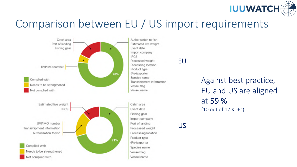

#### Comparison between EU / US import requirements



EU

Against best practice, EU and US are aligned at 59 % (10 out of 17 KDEs)

US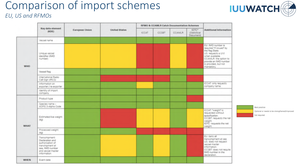#### Comparison of import schemes



#### *EU, US and RFMOs*

|             | Key data element<br>(SODE)                                                                                                       | <b>European Union</b> | <b>United States</b> | RFMO & CCAMLR Catch Documentation Schemes |       |               |                                            |                                                                                                                                                                                                 |
|-------------|----------------------------------------------------------------------------------------------------------------------------------|-----------------------|----------------------|-------------------------------------------|-------|---------------|--------------------------------------------|-------------------------------------------------------------------------------------------------------------------------------------------------------------------------------------------------|
|             |                                                                                                                                  |                       |                      | <b>ICCAT</b>                              | CCSBT | <b>CCAMLR</b> | <b>IOTC*</b><br>(Statistical)<br>Documenti | Additional Information                                                                                                                                                                          |
| <b>WHO</b>  | Wooel name                                                                                                                       |                       |                      |                                           |       |               |                                            |                                                                                                                                                                                                 |
|             | Unique vessel<br>identifier (IMO)<br>number).                                                                                    |                       |                      |                                           |       |               |                                            | EU: IMO number is<br>yd "baucci fi" banupan<br>the flag State.<br>US: requests a UVI<br>when available.<br>CCAMLR: the option to<br>provide an IMO number<br>is provided, but not<br>mandatory. |
|             | Vessel flag                                                                                                                      |                       |                      |                                           |       |               |                                            |                                                                                                                                                                                                 |
|             | International Radio<br>Call Sign (IRCS)                                                                                          |                       |                      |                                           |       |               |                                            |                                                                                                                                                                                                 |
|             | Information on<br>exporter / re-exporter                                                                                         |                       |                      |                                           |       |               |                                            | ICCAT: only requests<br>company name.                                                                                                                                                           |
|             | Identity of import<br>company                                                                                                    |                       |                      |                                           |       |               |                                            |                                                                                                                                                                                                 |
| WHAT        | Product type                                                                                                                     |                       |                      |                                           |       |               |                                            |                                                                                                                                                                                                 |
|             | Species name -<br>ASFIS 3-Alpha Code                                                                                             |                       |                      |                                           |       |               |                                            |                                                                                                                                                                                                 |
|             | Estimated live weight<br>(kg)                                                                                                    |                       |                      |                                           |       |               |                                            | ICCAT: "weight" is<br>fuorthy betseuper<br>specification.<br>CCSBT: requests the net<br>weight.<br>IOTC: requests the net<br>weight                                                             |
|             | Processed weight<br>ogr                                                                                                          |                       |                      |                                           |       |               |                                            |                                                                                                                                                                                                 |
|             | Transshipment:<br>Declaration and<br>authorisation of<br>transhipment at:<br>sea, IMO number<br>and vessel master<br>information |                       |                      |                                           |       |               |                                            | EU: banc all<br>transshipment at sea<br>US: does not request<br>vessel master<br>information.<br>CCSBT: does not require<br>IMO number in the<br>declaration.                                   |
| <b>WHEN</b> | Event date                                                                                                                       |                       |                      |                                           |       |               |                                            |                                                                                                                                                                                                 |
|             |                                                                                                                                  |                       |                      |                                           |       |               |                                            |                                                                                                                                                                                                 |

**Best practice** Optional or needs to be strengthened/improved Not required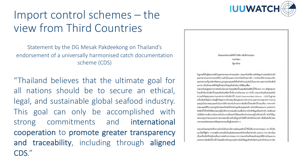#### Import control schemes – the view from Third Countries

Statement by the DG Mesak Pakdeekong on Thailand's endorsement of a universally harmonised catch documentation scheme (CDS)

"Thailand believes that the ultimate goal for all nations should be to secure an ethical, legal, and sustainable global seafood industry. This goal can only be accomplished with strong commitments and international cooperation to promote greater transparency and traceability, including through aligned CDS."



Expurations relief follow studentshave **ESSA/SEGA** Spraches

ไม่ถูกแต่ไม่ในผู้ค่อยภาพใก่ในอุคสาหกรรมอาหารพบเปิลก ประเทศไทยไม่ความสำคัญแก่การค่อเสริมห่วยไข่ อุตสาหกรรมอาหารพอเลที่มีความชั่งขึ้นและความไปว่งใสเป็นอย่างขึ้ง การรักษาให้การประเมณีน อุดสารทางแท็ถูกพร้องโยชนาม ถูกคุณของเลขจังยินสำหรับพบว่าเต่นไปในอนาคต และอาจารใดนี้จะมี แรงงาน เป็นเป้าหมายที่สำคัญที่ประเทศไทยผู้หน้าเค้าเป็นการให้สัมฤทธิ์ผล

ประเทศไทยอยู่ระหว่างการค้าเป็นน้อยายการประสงค์คว้นในเสดอิตภัณฑ์อัตว์น้ำที่นาจาก 1.31 เข้าสู่ประเทศ ใหญ่ที่อย้องกันสัตว์น้ำและแล้งเกินที่สัตว์น้ำที่มาจากกิจกรรม 1.10 ดังนั้น ประเทศไทยจังหรองนักลึง ความสำคัญของและงานแอกสารการจับสัตว์น้ำ (Catch Documentation Scheme - CDS) ในฐานส ยากันที่ UUB และระบานและ อาจารถเป็นประเทศราช อาจารถเป็นที่ผู้อย่างการใส่หรือนั้น นี้ และผู้เป็นความสนุนแต่ก็เป็นการให้การออกในวันรองการจับลัมวิทองลัยน้ำตอนตั้งกา จากการกำ งานของเปลี่ยงการประจำเป็นจำนวนใหม่เจ้าหมูกค้องและแม่นอำ อย่างไมโคนแนนงาน เอกสารการ จับสิ่งให้เป็นที่เป็นอย่ายเหญิงเจ้าอาหารหมะมีความเสื่อกับการวันที่กรีอยู่เห็นคล่างกัน ไม่เรื่องแล่ ก่งได้เกิดการเห็นภาพในการคำเนินภายเห็นจะหรือโดยคดอ้นเกิดเกยครูนำเข้าเหล่านั้น มักกำได้ถูก ลดขอบคุณค่าของเอกสารการครวจสอบอ้อนกลับเนื่ออูกนำไปให้อ้างอิงฟรือในครามพ์ เพื่ออินดับทั้นาของ อาหารพอเลโดยประเทศหรืออุดสาหกรรมที่อยู่ในตลาดต่าง ๆ

ประเทศไทยคระหนักอีงความไปรับไม่ในห่วยให้การแล้ลและลัดวัน้ำที่ไม่ได้มาจากการประมะ 3.33 ซึ่งเป็น มเพิ่มที่รับกำ ๆ ควรแม้ความร่วมมือกันเมิ่มตองระบางในรับครื่นครค่ากัน แลนงาน COS อย่างน้อย เป็นหรือเมื่อที่ร่วยร้านคลิงนการต่อต้านการประมง 8.01 ประเทศไทยจึงของบินตรูปให้มีการบ้านผมงาน เล่ยทางจะเป็นไปทางเท่าเชื่องข้องๆในการจัดเท่าน้ำจะเพิ่มเจอรู้นายให้เจอร์ตเท่าน้ำจันที่บริหานทราย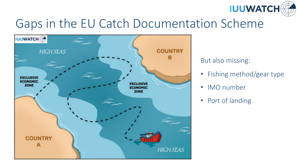

## Gaps in the EU Catch Documentation Scheme



But also missing:

- Fishing method/gear type
- IMO number
- Port of landing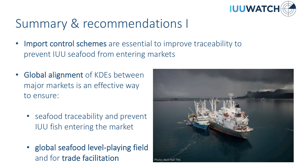

## Summary & recommendations I

- Import control schemes are essential to improve traceability to prevent IUU seafood from entering markets
- Global alignment of KDEs between major markets is an effective way to ensure:
	- seafood traceability and prevent IUU fish entering the market
	- global seafood level-playing field and for trade facilitation

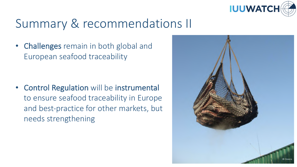

## Summary & recommendations II

• Challenges remain in both global and European seafood traceability

• Control Regulation will be instrumental to ensure seafood traceability in Europe and best-practice for other markets, but needs strengthening

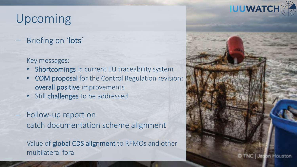## Upcoming

Briefing on 'lots'

Key messages:

- Shortcomings in current EU traceability system
- COM proposal for the Control Regulation revision: overall positive improvements
- Still challenges to be addressed
- Follow-up report on catch documentation scheme alignment

Value of global CDS alignment to RFMOs and other multilateral fora